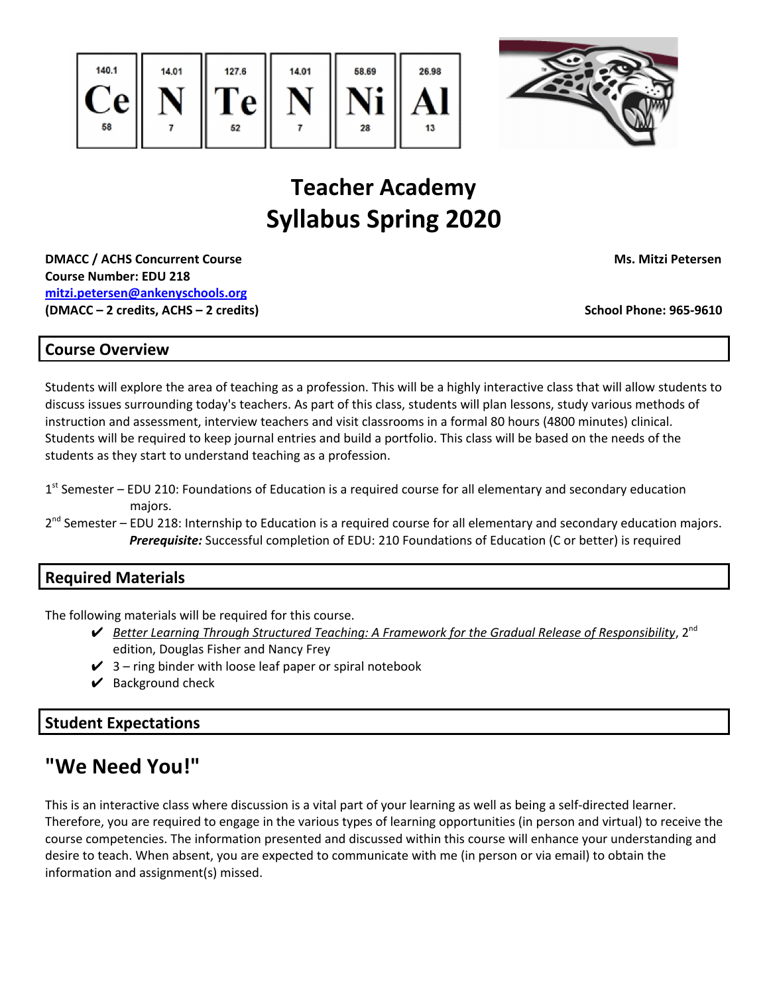



# **Teacher Academy Syllabus Spring 2020**

**DMACC / ACHS Concurrent Course Ms. Mitzi Petersen Course Number: EDU 218 [mitzi.petersen@ankenyschools.org](mailto:mitzi.petersen@ankenyschools.org) (DMACC – 2 credits, ACHS – 2 credits) School Phone: 965-9610**

## **Course Overview**

Students will explore the area of teaching as a profession. This will be a highly interactive class that will allow students to discuss issues surrounding today's teachers. As part of this class, students will plan lessons, study various methods of instruction and assessment, interview teachers and visit classrooms in a formal 80 hours (4800 minutes) clinical. Students will be required to keep journal entries and build a portfolio. This class will be based on the needs of the students as they start to understand teaching as a profession.

- 1<sup>st</sup> Semester EDU 210: Foundations of Education is a required course for all elementary and secondary education majors.
- 2<sup>nd</sup> Semester EDU 218: Internship to Education is a required course for all elementary and secondary education majors. *Prerequisite:* Successful completion of EDU: 210 Foundations of Education (C or better) is required

## **Required Materials**

The following materials will be required for this course.

- ✔ *Better Learning Through Structured Teaching: A Framework for the Gradual Release of Responsibility*, 2 nd edition, Douglas Fisher and Nancy Frey
- $\checkmark$  3 ring binder with loose leaf paper or spiral notebook
- $\vee$  Background check

## **Student Expectations**

## **"We Need You!"**

This is an interactive class where discussion is a vital part of your learning as well as being a self-directed learner. Therefore, you are required to engage in the various types of learning opportunities (in person and virtual) to receive the course competencies. The information presented and discussed within this course will enhance your understanding and desire to teach. When absent, you are expected to communicate with me (in person or via email) to obtain the information and assignment(s) missed.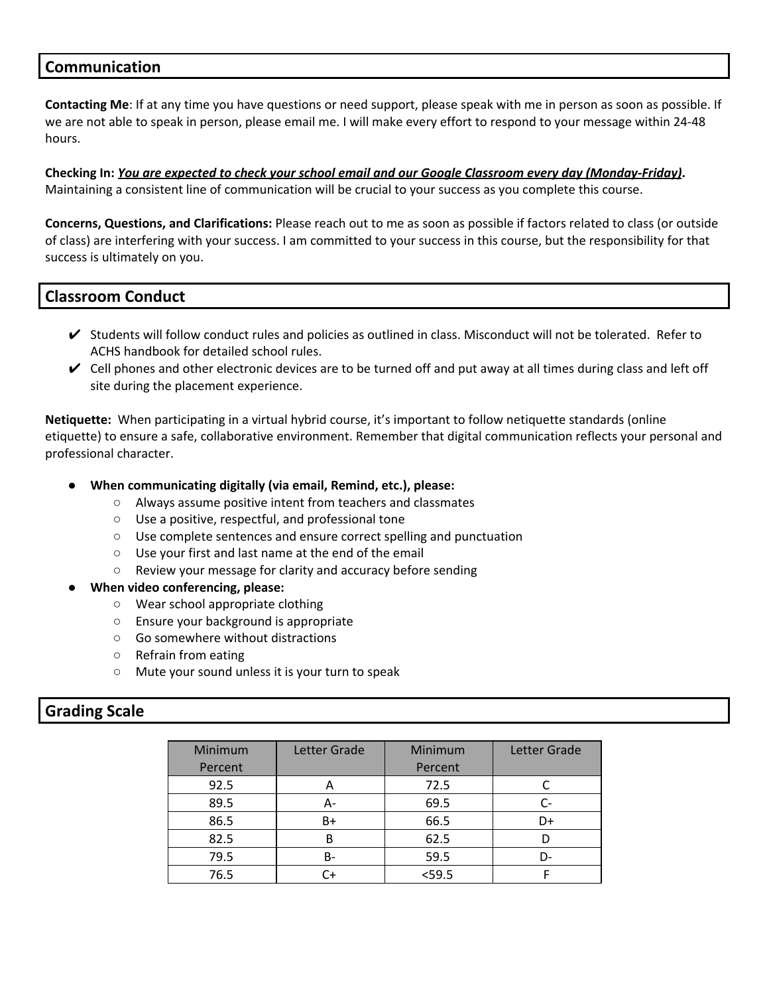## **Communication**

**Contacting Me**: If at any time you have questions or need support, please speak with me in person as soon as possible. If we are not able to speak in person, please email me. I will make every effort to respond to your message within 24-48 hours.

Checking In: You are expected to check your school email and our Google Classroom every day (Monday-Friday). Maintaining a consistent line of communication will be crucial to your success as you complete this course.

**Concerns, Questions, and Clarifications:** Please reach out to me as soon as possible if factors related to class (or outside of class) are interfering with your success. I am committed to your success in this course, but the responsibility for that success is ultimately on you.

## **Classroom Conduct**

- $\vee$  Students will follow conduct rules and policies as outlined in class. Misconduct will not be tolerated. Refer to ACHS handbook for detailed school rules.
- $\vee$  Cell phones and other electronic devices are to be turned off and put away at all times during class and left off site during the placement experience.

**Netiquette:** When participating in a virtual hybrid course, it's important to follow netiquette standards (online etiquette) to ensure a safe, collaborative environment. Remember that digital communication reflects your personal and professional character.

- **● When communicating digitally (via email, Remind, etc.), please:**
	- Always assume positive intent from teachers and classmates
	- Use a positive, respectful, and professional tone
	- Use complete sentences and ensure correct spelling and punctuation
	- Use your first and last name at the end of the email
	- Review your message for clarity and accuracy before sending
- **● When video conferencing, please:**
	- Wear school appropriate clothing
	- Ensure your background is appropriate
	- Go somewhere without distractions
	- Refrain from eating
	- Mute your sound unless it is your turn to speak

#### **Grading Scale**

| Minimum<br>Percent | Letter Grade | Minimum<br>Percent | Letter Grade |
|--------------------|--------------|--------------------|--------------|
| 92.5               | A            | 72.5               |              |
| 89.5               | А-           | 69.5               |              |
| 86.5               | B+           | 66.5               | D+           |
| 82.5               | B            | 62.5               |              |
| 79.5               | B-           | 59.5               | D-           |
| 76.5               | C+           | $<$ 59.5           |              |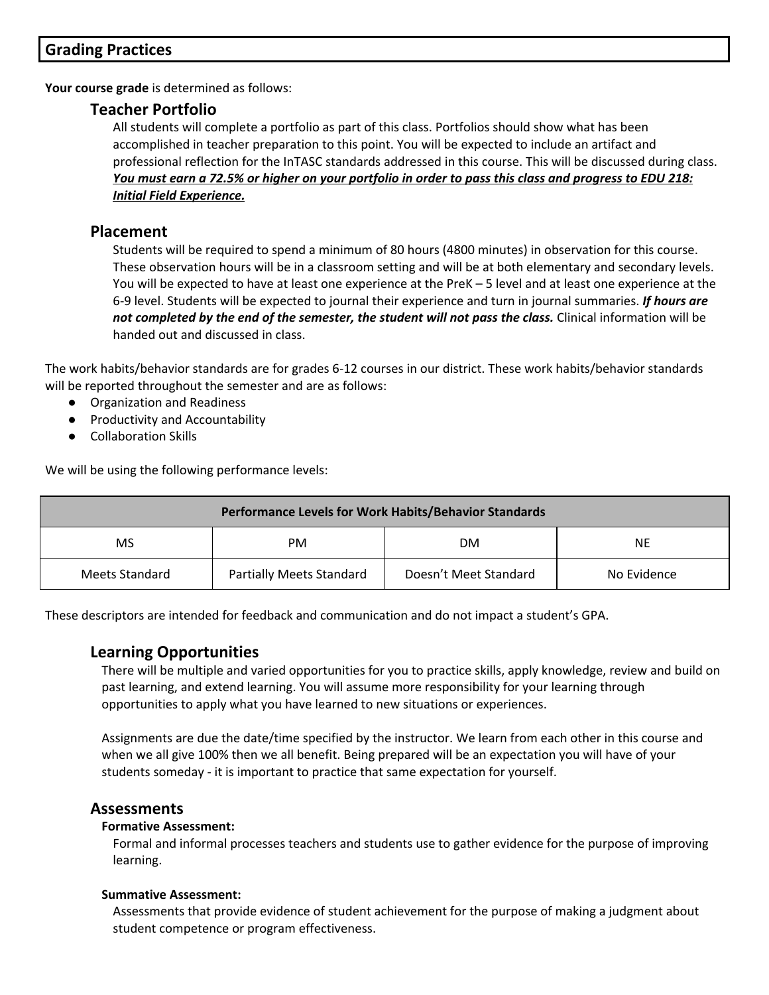## **Grading Practices**

**Your course grade** is determined as follows:

## **Teacher Portfolio**

All students will complete a portfolio as part of this class. Portfolios should show what has been accomplished in teacher preparation to this point. You will be expected to include an artifact and professional reflection for the InTASC standards addressed in this course. This will be discussed during class. You must earn a 72.5% or higher on your portfolio in order to pass this class and progress to EDU 218: *Initial Field Experience.*

## **Placement**

Students will be required to spend a minimum of 80 hours (4800 minutes) in observation for this course. These observation hours will be in a classroom setting and will be at both elementary and secondary levels. You will be expected to have at least one experience at the PreK – 5 level and at least one experience at the 6-9 level. Students will be expected to journal their experience and turn in journal summaries. *If hours are not completed by the end of the semester, the student will not pass the class.* Clinical information will be handed out and discussed in class.

The work habits/behavior standards are for grades 6-12 courses in our district. These work habits/behavior standards will be reported throughout the semester and are as follows:

- Organization and Readiness
- Productivity and Accountability
- Collaboration Skills

We will be using the following performance levels:

| <b>Performance Levels for Work Habits/Behavior Standards</b> |                          |                       |             |  |
|--------------------------------------------------------------|--------------------------|-----------------------|-------------|--|
| MS                                                           | PM                       | <b>DM</b>             | NE.         |  |
| Meets Standard                                               | Partially Meets Standard | Doesn't Meet Standard | No Evidence |  |

These descriptors are intended for feedback and communication and do not impact a student's GPA.

## **Learning Opportunities**

There will be multiple and varied opportunities for you to practice skills, apply knowledge, review and build on past learning, and extend learning. You will assume more responsibility for your learning through opportunities to apply what you have learned to new situations or experiences.

Assignments are due the date/time specified by the instructor. We learn from each other in this course and when we all give 100% then we all benefit. Being prepared will be an expectation you will have of your students someday - it is important to practice that same expectation for yourself.

## **Assessments**

#### **Formative Assessment:**

Formal and informal processes teachers and students use to gather evidence for the purpose of improving learning.

#### **Summative Assessment:**

Assessments that provide evidence of student achievement for the purpose of making a judgment about student competence or program effectiveness.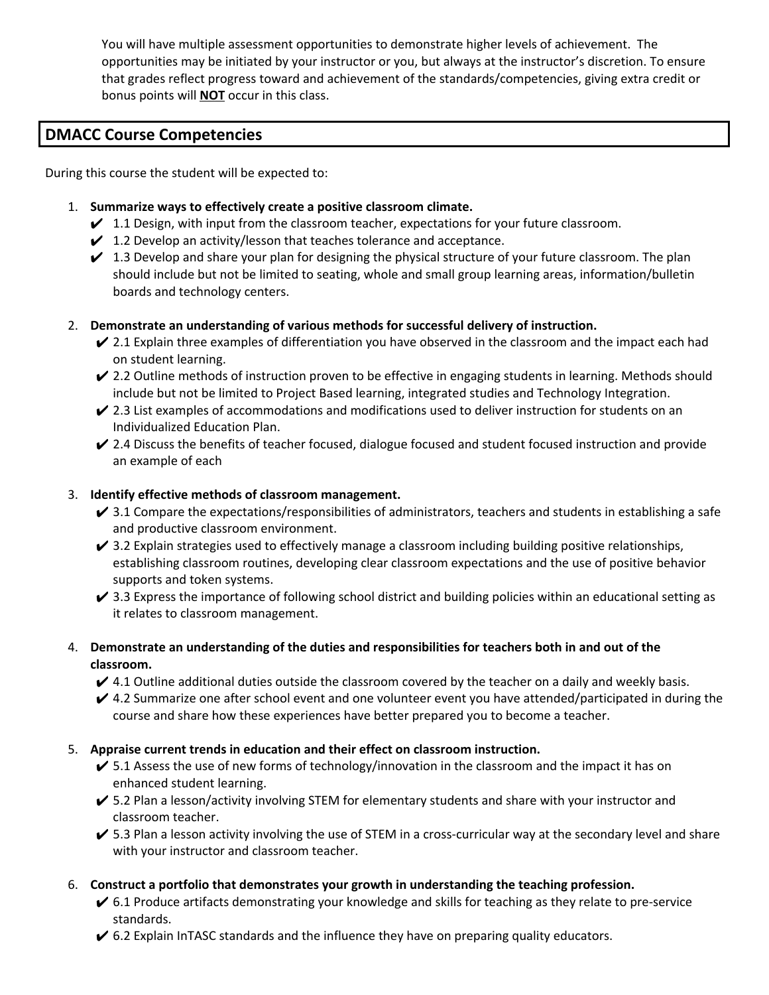You will have multiple assessment opportunities to demonstrate higher levels of achievement. The opportunities may be initiated by your instructor or you, but always at the instructor's discretion. To ensure that grades reflect progress toward and achievement of the standards/competencies, giving extra credit or bonus points will **NOT** occur in this class.

## **DMACC Course Competencies**

During this course the student will be expected to:

- 1. **Summarize ways to effectively create a positive classroom climate.**
	- $\checkmark$  1.1 Design, with input from the classroom teacher, expectations for your future classroom.
	- $\checkmark$  1.2 Develop an activity/lesson that teaches tolerance and acceptance.
	- $\swarrow$  1.3 Develop and share your plan for designing the physical structure of your future classroom. The plan should include but not be limited to seating, whole and small group learning areas, information/bulletin boards and technology centers.
- 2. **Demonstrate an understanding of various methods for successful delivery of instruction.**
	- $\vee$  2.1 Explain three examples of differentiation you have observed in the classroom and the impact each had on student learning.
	- ✔ 2.2 Outline methods of instruction proven to be effective in engaging students in learning. Methods should include but not be limited to Project Based learning, integrated studies and Technology Integration.
	- $\checkmark$  2.3 List examples of accommodations and modifications used to deliver instruction for students on an Individualized Education Plan.
	- $\vee$  2.4 Discuss the benefits of teacher focused, dialogue focused and student focused instruction and provide an example of each

#### 3. **Identify effective methods of classroom management.**

- $\vee$  3.1 Compare the expectations/responsibilities of administrators, teachers and students in establishing a safe and productive classroom environment.
- $\checkmark$  3.2 Explain strategies used to effectively manage a classroom including building positive relationships, establishing classroom routines, developing clear classroom expectations and the use of positive behavior supports and token systems.
- $\overline{V}$  3.3 Express the importance of following school district and building policies within an educational setting as it relates to classroom management.
- 4. **Demonstrate an understanding of the duties and responsibilities for teachers both in and out of the classroom.**
	- $\blacktriangleright$  4.1 Outline additional duties outside the classroom covered by the teacher on a daily and weekly basis.
	- $\vee$  4.2 Summarize one after school event and one volunteer event you have attended/participated in during the course and share how these experiences have better prepared you to become a teacher.

#### 5. **Appraise current trends in education and their effect on classroom instruction.**

- $\checkmark$  5.1 Assess the use of new forms of technology/innovation in the classroom and the impact it has on enhanced student learning.
- $\checkmark$  5.2 Plan a lesson/activity involving STEM for elementary students and share with your instructor and classroom teacher.
- $\sw$  5.3 Plan a lesson activity involving the use of STEM in a cross-curricular way at the secondary level and share with your instructor and classroom teacher.

#### 6. **Construct a portfolio that demonstrates your growth in understanding the teaching profession.**

- $\checkmark$  6.1 Produce artifacts demonstrating your knowledge and skills for teaching as they relate to pre-service standards.
- $\checkmark$  6.2 Explain InTASC standards and the influence they have on preparing quality educators.